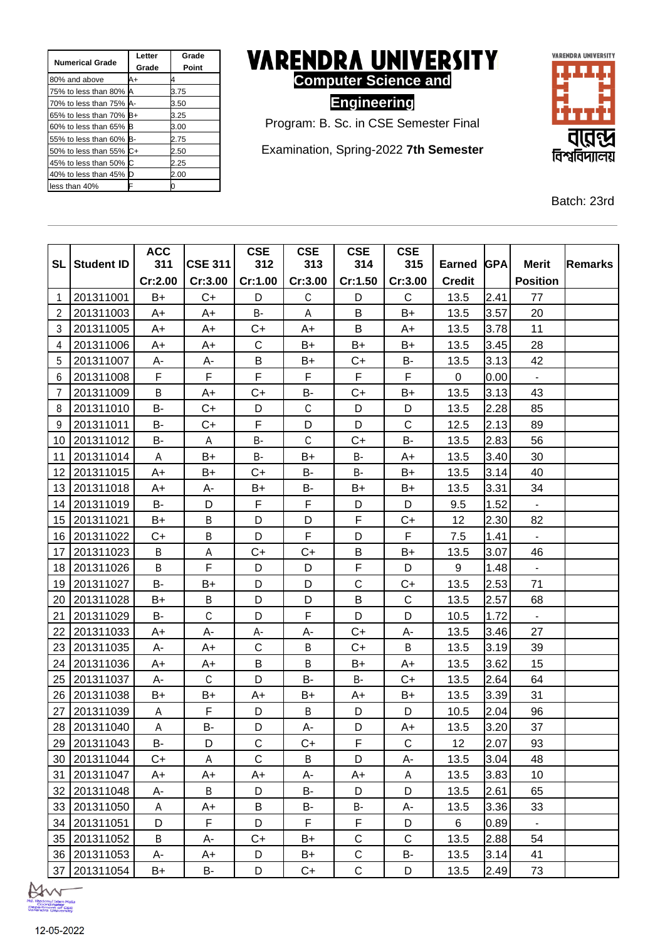| <b>Numerical Grade</b>  | Letter<br>Grade | Grade<br>Point |
|-------------------------|-----------------|----------------|
| 80% and above           | A+              |                |
| 75% to less than 80% A  |                 | 3.75           |
| 70% to less than 75% A- |                 | 3.50           |
| 65% to less than 70% B+ |                 | 3.25           |
| 60% to less than 65% B  |                 | 3.00           |
| 55% to less than 60% B- |                 | 2.75           |
| 50% to less than 55% C+ |                 | 2.50           |
| 45% to less than 50% C  |                 | 2.25           |
| 40% to less than 45% D  |                 | 2.00           |
| less than 40%           |                 |                |



**Engineering**



Examination, Spring-2022 **7th Semester**



Batch: 23rd

|                |                   | <b>ACC</b> |                | <b>CSE</b>  | <b>CSE</b>   | <b>CSE</b>  | <b>CSE</b>   |               |            |                 |                |
|----------------|-------------------|------------|----------------|-------------|--------------|-------------|--------------|---------------|------------|-----------------|----------------|
| <b>SL</b>      | <b>Student ID</b> | 311        | <b>CSE 311</b> | 312         | 313          | 314         | 315          | <b>Earned</b> | <b>GPA</b> | <b>Merit</b>    | <b>Remarks</b> |
|                |                   | Cr:2.00    | Cr:3.00        | Cr:1.00     | Cr:3.00      | Cr:1.50     | Cr:3.00      | <b>Credit</b> |            | <b>Position</b> |                |
| $\mathbf 1$    | 201311001         | B+         | $C+$           | D           | C            | D           | $\mathsf{C}$ | 13.5          | 2.41       | 77              |                |
| 2              | 201311003         | A+         | A+             | <b>B-</b>   | Α            | B           | B+           | 13.5          | 3.57       | 20              |                |
| 3              | 201311005         | A+         | A+             | $C+$        | A+           | B           | A+           | 13.5          | 3.78       | 11              |                |
| 4              | 201311006         | $A+$       | $A+$           | C           | B+           | $B+$        | $B+$         | 13.5          | 3.45       | 28              |                |
| 5              | 201311007         | А-         | A-             | B           | $B+$         | $C+$        | <b>B-</b>    | 13.5          | 3.13       | 42              |                |
| 6              | 201311008         | F          | F              | F           | F            | F           | F            | 0             | 0.00       | $\blacksquare$  |                |
| $\overline{7}$ | 201311009         | $\sf B$    | $A+$           | $C+$        | <b>B-</b>    | C+          | $B+$         | 13.5          | 3.13       | 43              |                |
| 8              | 201311010         | B-         | $C+$           | D           | $\mathsf C$  | D           | D            | 13.5          | 2.28       | 85              |                |
| 9              | 201311011         | <b>B-</b>  | $C+$           | F           | D            | D           | $\mathsf{C}$ | 12.5          | 2.13       | 89              |                |
| 10             | 201311012         | B-         | A              | B-          | $\mathsf{C}$ | $C+$        | <b>B-</b>    | 13.5          | 2.83       | 56              |                |
| 11             | 201311014         | A          | B+             | <b>B-</b>   | $B+$         | B-          | A+           | 13.5          | 3.40       | 30              |                |
| 12             | 201311015         | $A+$       | B+             | $C+$        | B-           | B-          | B+           | 13.5          | 3.14       | 40              |                |
| 13             | 201311018         | A+         | А-             | B+          | B-           | B+          | B+           | 13.5          | 3.31       | 34              |                |
| 14             | 201311019         | B-         | D              | F           | F            | D           | D            | 9.5           | 1.52       | $\blacksquare$  |                |
| 15             | 201311021         | B+         | B              | D           | D            | F           | $C+$         | 12            | 2.30       | 82              |                |
| 16             | 201311022         | C+         | B              | D           | F            | D           | F            | 7.5           | 1.41       |                 |                |
| 17             | 201311023         | B          | A              | $C+$        | $C+$         | B           | B+           | 13.5          | 3.07       | 46              |                |
| 18             | 201311026         | B          | F              | D           | D            | F           | D            | 9             | 1.48       | $\blacksquare$  |                |
| 19             | 201311027         | B-         | B+             | D           | D            | $\mathsf C$ | $C+$         | 13.5          | 2.53       | 71              |                |
| 20             | 201311028         | B+         | B              | D           | D            | B           | $\mathsf C$  | 13.5          | 2.57       | 68              |                |
| 21             | 201311029         | B-         | $\mathsf{C}$   | D           | F            | D           | D            | 10.5          | 1.72       | ä,              |                |
| 22             | 201311033         | A+         | A-             | А-          | A-           | C+          | A-           | 13.5          | 3.46       | 27              |                |
| 23             | 201311035         | A-         | $A+$           | $\mathsf C$ | $\sf B$      | C+          | B            | 13.5          | 3.19       | 39              |                |
| 24             | 201311036         | A+         | A+             | B           | B            | B+          | A+           | 13.5          | 3.62       | 15              |                |
| 25             | 201311037         | A-         | $\mathsf C$    | D           | B-           | B-          | $C+$         | 13.5          | 2.64       | 64              |                |
| 26             | 201311038         | B+         | B+             | A+          | $B+$         | A+          | $B+$         | 13.5          | 3.39       | 31              |                |
| 27             | 201311039         | Α          | F              | D           | B            | D           | D            | 10.5          | 2.04       | 96              |                |
| 28             | 201311040         | A          | <b>B-</b>      | D           | A-           | D           | $A+$         | 13.5          | 3.20       | 37              |                |
|                | 29 201311043      | B-         | D              | С           | C+           | F           | C            | 12            | 2.07       | 93              |                |
|                | 30 201311044      | C+         | A              | C           | B            | D           | А-           | 13.5          | 3.04       | 48              |                |
| 31             | 201311047         | A+         | A+             | $A+$        | А-           | A+          | A            | 13.5          | 3.83       | 10              |                |
| 32             | 201311048         | A-         | B              | D           | B-           | D           | D            | 13.5          | 2.61       | 65              |                |
|                | 33 201311050      | A          | A+             | B           | B-           | B-          | A-           | 13.5          | 3.36       | 33              |                |
| 34             | 201311051         | D          | F              | D           | F            | F           | D            | 6             | 0.89       | ۰               |                |
|                | 35 201311052      | B          | A-             | $C+$        | B+           | $\mathsf C$ | $\mathsf C$  | 13.5          | 2.88       | 54              |                |
|                | 36 201311053      | А-         | A+             | D           | B+           | $\mathsf C$ | B-           | 13.5          | 3.14       | 41              |                |
|                | 37 201311054      | B+         | B-             | D           | $C+$         | $\mathsf C$ | D            | 13.5          | 2.49       | 73              |                |

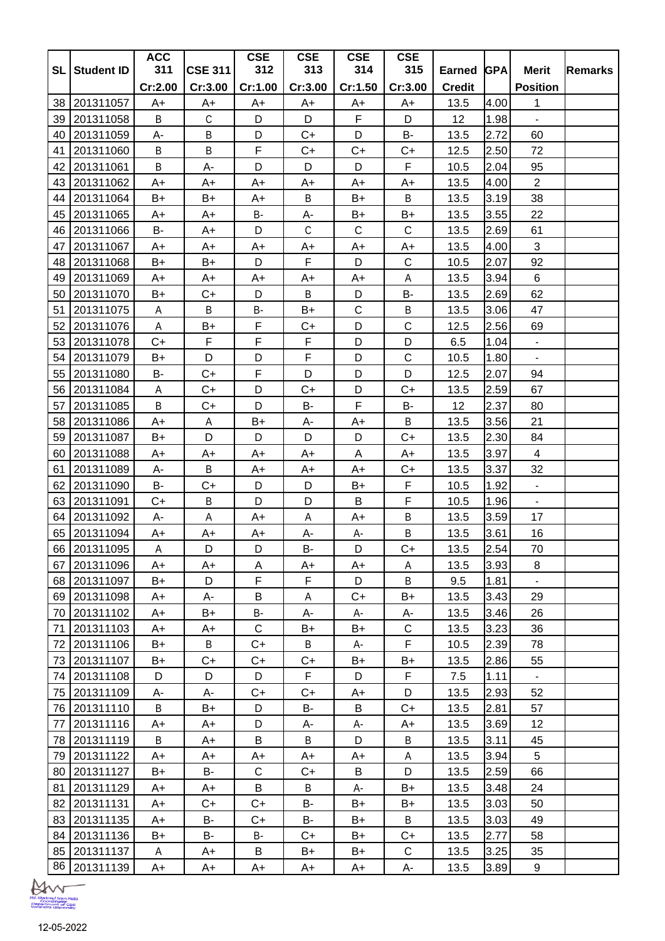|           |                        | <b>ACC</b>   |                  | <b>CSE</b>  | <b>CSE</b>  | <b>CSE</b>  | <b>CSE</b>   |               |              |                 |                |
|-----------|------------------------|--------------|------------------|-------------|-------------|-------------|--------------|---------------|--------------|-----------------|----------------|
| <b>SL</b> | <b>Student ID</b>      | 311          | <b>CSE 311</b>   | 312         | 313         | 314         | 315          | Earned GPA    |              | <b>Merit</b>    | <b>Remarks</b> |
|           |                        | Cr:2.00      | Cr:3.00          | Cr:1.00     | Cr:3.00     | Cr:1.50     | Cr:3.00      | <b>Credit</b> |              | <b>Position</b> |                |
| 38        | 201311057              | A+           | $A+$             | A+          | A+          | A+          | $A+$         | 13.5          | 4.00         | 1               |                |
| 39        | 201311058              | B<br>A-      | $\mathbb C$<br>B | D<br>D      | D<br>$C+$   | F<br>D      | D<br>B-      | 12<br>13.5    | 1.98<br>2.72 | ä,<br>60        |                |
| 40<br>41  | 201311059<br>201311060 | B            | B                | $\mathsf F$ | $C+$        | $C+$        | $C+$         | 12.5          | 2.50         | 72              |                |
| 42        |                        | B            | A-               | D           | D           | D           | F            | 10.5          | 2.04         | 95              |                |
| 43        | 201311061<br>201311062 | A+           | A+               | $A+$        | A+          | A+          | A+           | 13.5          | 4.00         | $\overline{2}$  |                |
| 44        | 201311064              | B+           | B+               | A+          | B           | B+          | B            | 13.5          | 3.19         | 38              |                |
| 45        | 201311065              | A+           | A+               | B-          | А-          | B+          | B+           | 13.5          | 3.55         | 22              |                |
| 46        | 201311066              | <b>B-</b>    | A+               | D           | $\mathsf C$ | C           | $\mathsf C$  | 13.5          | 2.69         | 61              |                |
| 47        | 201311067              | A+           | A+               | A+          | $A+$        | $A+$        | A+           | 13.5          | 4.00         | 3               |                |
| 48        | 201311068              | B+           | B+               | D           | F           | D           | $\mathsf C$  | 10.5          | 2.07         | 92              |                |
| 49        | 201311069              | A+           | A+               | A+          | A+          | A+          | A            | 13.5          | 3.94         | 6               |                |
| 50        | 201311070              | B+           | $C+$             | D           | B           | D           | <b>B-</b>    | 13.5          | 2.69         | 62              |                |
| 51        | 201311075              | A            | B                | B-          | B+          | $\mathsf C$ | $\sf B$      | 13.5          | 3.06         | 47              |                |
| 52        | 201311076              | A            | B+               | F           | $C+$        | D           | C            | 12.5          | 2.56         | 69              |                |
| 53        | 201311078              | $C+$         | F                | F           | F           | D           | D            | 6.5           | 1.04         |                 |                |
| 54        | 201311079              | B+           | D                | D           | F           | D           | $\mathsf C$  | 10.5          | 1.80         | ٠               |                |
| 55        | 201311080              | В-           | $C+$             | F           | D           | D           | D            | 12.5          | 2.07         | 94              |                |
| 56        | 201311084              | Α            | $C+$             | D           | $C+$        | D           | $C+$         | 13.5          | 2.59         | 67              |                |
| 57        | 201311085              | B            | C+               | D           | B-          | F           | B-           | 12            | 2.37         | 80              |                |
| 58        | 201311086              | A+           | $\mathsf A$      | B+          | А-          | A+          | B            | 13.5          | 3.56         | 21              |                |
| 59        | 201311087              | B+           | D                | D           | D           | D           | $C+$         | 13.5          | 2.30         | 84              |                |
| 60        | 201311088              | A+           | A+               | A+          | A+          | Α           | A+           | 13.5          | 3.97         | 4               |                |
| 61        | 201311089              | A-           | B                | A+          | A+          | A+          | $C+$         | 13.5          | 3.37         | 32              |                |
| 62        | 201311090              | <b>B-</b>    | $C+$             | D           | D           | B+          | F            | 10.5          | 1.92         | $\blacksquare$  |                |
| 63        | 201311091              | $C+$         | B                | D           | D           | B           | F            | 10.5          | 1.96         | $\sim$          |                |
| 64        | 201311092              | А-           | A                | A+          | Α           | A+          | B            | 13.5          | 3.59         | 17              |                |
| 65        | 201311094              | A+           | A+               | A+          | А-          | A-          | B            | 13.5          | 3.61         | 16              |                |
|           | 66 201311095           | $\mathsf{A}$ | D                | D           | <b>B-</b>   | D           | $C+$         | 13.5          | 2.54         | $70\,$          |                |
|           | 67 201311096           | A+           | A+               | Α           | A+          | A+          | Α            | 13.5          | 3.93         | 8               |                |
|           | 68 201311097           | B+           | D                | F           | F           | D           | B            | 9.5           | 1.81         | $\blacksquare$  |                |
|           | 69 201311098           | A+           | А-               | B           | Α           | $C+$        | $B+$         | 13.5          | 3.43         | 29              |                |
|           | 70 201311102           | A+           | B+               | B-          | A-          | A-          | А-           | 13.5          | 3.46         | 26              |                |
| 71        | 201311103              | A+           | A+               | $\mathsf C$ | B+          | B+          | $\mathsf{C}$ | 13.5          | 3.23         | 36              |                |
|           | 72 201311106           | B+           | B                | $C+$        | B           | A-          | F            | 10.5          | 2.39         | 78              |                |
|           | 73 201311107           | B+           | $C+$             | C+          | $C+$        | B+          | B+           | 13.5          | 2.86         | 55              |                |
|           | 74 201311108           | D            | D                | D           | F.          | D           | F.           | 7.5           | 1.11         |                 |                |
|           | 75 201311109           | А-           | А-               | $C+$        | $C+$        | A+          | D            | 13.5          | 2.93         | 52              |                |
|           | 76 201311110           | B            | B+               | D           | B-          | B           | C+           | 13.5          | 2.81         | 57              |                |
| 77        | 201311116              | A+           | A+               | D           | A-          | А-          | A+           | 13.5          | 3.69         | 12              |                |
|           | 78 201311119           | B            | A+               | B           | B           | D           | B            | 13.5          | 3.11         | 45              |                |
|           | 79 201311122           | A+           | A+               | A+          | A+          | A+          | A            | 13.5          | 3.94         | 5               |                |
|           | 80 201311127           | B+           | B-               | $\mathsf C$ | C+          | B           | D            | 13.5          | 2.59         | 66              |                |
|           | 81 201311129           | A+           | A+               | B           | Β           | А-          | B+           | 13.5          | 3.48         | 24              |                |
|           | 82 201311131           | A+           | C+               | $C+$        | B-          | B+          | B+           | 13.5          | 3.03         | 50              |                |
|           | 83 201311135           | A+           | <b>B-</b>        | $C+$        | B-          | B+          | B            | 13.5          | 3.03         | 49              |                |
|           | 84 201311136           | B+           | <b>B-</b>        | В-          | C+          | B+          | C+           | 13.5          | 2.77         | 58              |                |
|           | 85 201311137           | A            | A+               | B           | B+          | B+          | $\mathsf C$  | 13.5          | 3.25         | 35              |                |
|           | 86 201311139           | A+           | A+               | A+          | A+          | A+          | A-           | 13.5          | 3.89         | 9               |                |

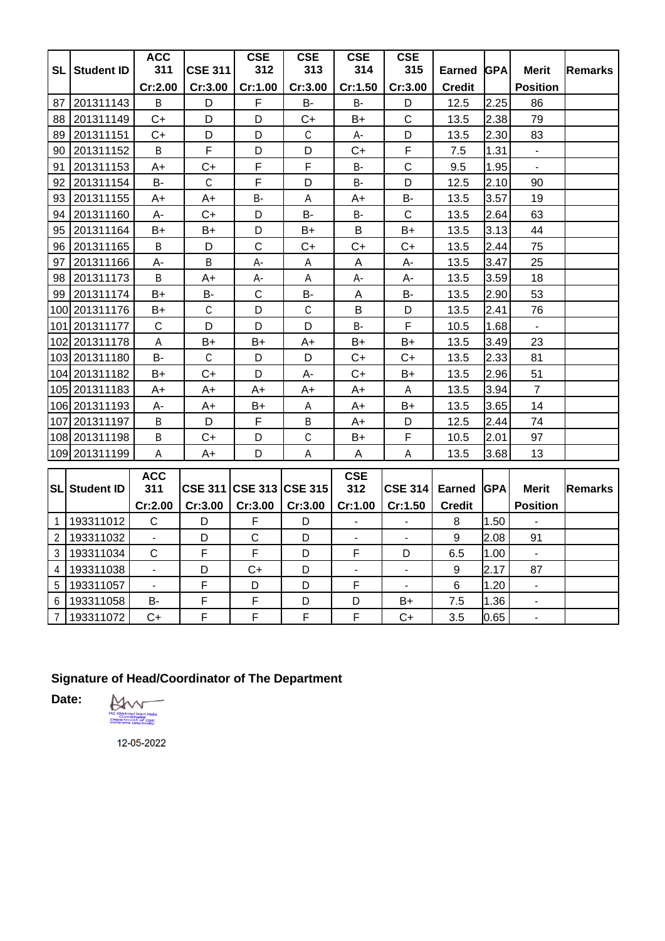|                |                      | <b>ACC</b>     |                 | <b>CSE</b>   | <b>CSE</b>     | <b>CSE</b>             | <b>CSE</b>     |                  |            |                 |                |
|----------------|----------------------|----------------|-----------------|--------------|----------------|------------------------|----------------|------------------|------------|-----------------|----------------|
| SL             | <b>Student ID</b>    | 311            | <b>CSE 311</b>  | 312          | 313            | 314                    | 315            | Earned           | <b>GPA</b> | <b>Merit</b>    | <b>Remarks</b> |
|                |                      | Cr:2.00        | Cr:3.00         | Cr:1.00      | Cr:3.00        | Cr:1.50                | Cr:3.00        | <b>Credit</b>    |            | <b>Position</b> |                |
| 87             | 201311143            | B              | D               | F            | <b>B-</b>      | B-                     | D              | 12.5             | 2.25       | 86              |                |
| 88             | 201311149            | $C+$           | D               | D            | $C+$           | $B+$                   | $\mathsf{C}$   | 13.5             | 2.38       | 79              |                |
| 89             | 201311151            | C+             | D               | D            | $\mathsf{C}$   | A-                     | D              | 13.5             | 2.30       | 83              |                |
| 90             | 201311152            | B              | $\mathsf F$     | D            | D              | $C+$                   | F              | 7.5              | 1.31       | $\blacksquare$  |                |
| 91             | 201311153            | $A+$           | $C+$            | $\mathsf F$  | F              | <b>B-</b>              | $\mathsf C$    | 9.5              | 1.95       | $\blacksquare$  |                |
| 92             | 201311154            | B-             | C               | $\mathsf F$  | D              | B-                     | D              | 12.5             | 2.10       | 90              |                |
| 93             | 201311155            | A+             | A+              | B-           | A              | A+                     | В-             | 13.5             | 3.57       | 19              |                |
| 94             | 201311160            | A-             | $C+$            | D            | В-             | В-                     | $\mathsf C$    | 13.5             | 2.64       | 63              |                |
| 95             | 201311164            | $B+$           | $B+$            | D            | $B+$           | B                      | $B+$           | 13.5             | 3.13       | 44              |                |
| 96             | 201311165            | $\sf B$        | D               | $\mathsf C$  | $C+$           | $C+$                   | $C+$           | 13.5             | 2.44       | 75              |                |
| 97             | 201311166            | А-             | B               | А-           | Α              | Α                      | A-             | 13.5             | 3.47       | 25              |                |
| 98             | 201311173            | B              | A+              | А-           | A              | А-                     | А-             | 13.5             | 3.59       | 18              |                |
| 99             | 201311174            | $B+$           | <b>B-</b>       | $\mathsf C$  | <b>B-</b>      | A                      | <b>B-</b>      | 13.5             | 2.90       | 53              |                |
|                | 100 201311176        | B+             | $\mathsf{C}$    | D            | $\mathsf C$    | B                      | D              | 13.5             | 2.41       | 76              |                |
|                | 101 201311177        | $\mathsf{C}$   | D               | D            | D              | B-                     | F              | 10.5             | 1.68       | $\sim$          |                |
|                | 102 201311178        | A              | B+              | $B+$         | A+             | B+                     | $B+$           | 13.5             | 3.49       | 23              |                |
|                | 103 201311180        | <b>B-</b>      | $\mathsf{C}$    | D            | D              | $C+$                   | $C+$           | 13.5             | 2.33       | 81              |                |
|                | 104 201311182        | B+             | $C+$            | D            | А-             | $\mathsf{C}\texttt{+}$ | $B+$           | 13.5             | 2.96       | 51              |                |
|                | 105 201311183        | A+             | A+              | A+           | A+             | A+                     | A              | 13.5             | 3.94       | $\overline{7}$  |                |
|                | 106 201311193        | А-             | A+              | B+           | A              | A+                     | B+             | 13.5             | 3.65       | 14              |                |
|                | 107 201311197        | B              | D               | $\mathsf F$  | B              | A+                     | D              | 12.5             | 2.44       | 74              |                |
|                | 108 201311198        | B              | $C+$            | D            | $\mathsf C$    | B+                     | F              | 10.5             | 2.01       | 97              |                |
|                | 109 201311199        | A              | $A+$            | D            | A              | $\mathsf{A}$           | A              | 13.5             | 3.68       | 13              |                |
|                |                      | <b>ACC</b>     |                 |              |                | <b>CSE</b>             |                |                  |            |                 |                |
|                | <b>SL Student ID</b> | 311            | CSE 311 CSE 313 |              | <b>CSE 315</b> | 312                    | <b>CSE 314</b> | Earned           | <b>GPA</b> | <b>Merit</b>    | <b>Remarks</b> |
|                |                      | Cr:2.00        | Cr:3.00         | Cr:3.00      | Cr:3.00        | Cr:1.00                | Cr:1.50        | <b>Credit</b>    |            | <b>Position</b> |                |
| $\mathbf{1}$   | 193311012            | C              | D               | F            | D              | $\blacksquare$         | $\blacksquare$ | 8                | 1.50       |                 |                |
| $\overline{2}$ | 193311032            | $\blacksquare$ | D               | $\mathsf{C}$ | D              | $\blacksquare$         | $\blacksquare$ | 9                | 2.08       | 91              |                |
| 3              | 193311034            | $\mathsf C$    | $\mathsf F$     | F            | D              | F                      | D              | 6.5              | 1.00       | $\blacksquare$  |                |
| 4              | 193311038            | ÷.             | D               | C+           | D              | $\blacksquare$         | $\blacksquare$ | $\boldsymbol{9}$ | 2.17       | 87              |                |
| 5              | 193311057            | $\blacksquare$ | $\mathsf F$     | D            | D              | $\mathsf F$            | $\mathbf{r}$   | 6                | 1.20       | $\blacksquare$  |                |
| 6              | 193311058            | B-             | $\mathsf F$     | F            | D              | D                      | B+             | 7.5              | 1.36       |                 |                |
| $\overline{7}$ | 193311072            | $C+$           | $\mathsf F$     | F            | F              | F                      | $C+$           | 3.5              | 0.65       |                 |                |

## **Signature of Head/Coordinator of The Department**

**Date:**

Md. Khademul Islam Molla<br>Poporti Islam Molla<br>Vanendrin University -

12-05-2022